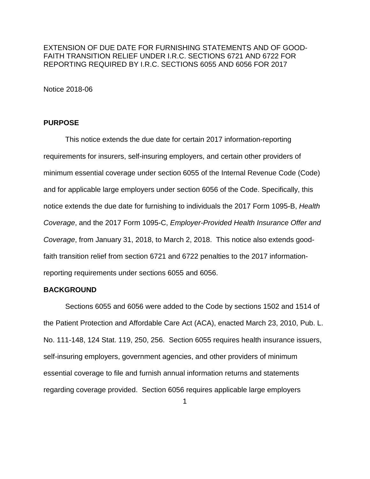EXTENSION OF DUE DATE FOR FURNISHING STATEMENTS AND OF GOOD-FAITH TRANSITION RELIEF UNDER I.R.C. SECTIONS 6721 AND 6722 FOR REPORTING REQUIRED BY I.R.C. SECTIONS 6055 AND 6056 FOR 2017

Notice 2018-06

### **PURPOSE**

This notice extends the due date for certain 2017 information-reporting requirements for insurers, self-insuring employers, and certain other providers of minimum essential coverage under section 6055 of the Internal Revenue Code (Code) and for applicable large employers under section 6056 of the Code. Specifically, this notice extends the due date for furnishing to individuals the 2017 Form 1095-B, *Health Coverage*, and the 2017 Form 1095-C, *Employer-Provided Health Insurance Offer and Coverage*, from January 31, 2018, to March 2, 2018. This notice also extends goodfaith transition relief from section 6721 and 6722 penalties to the 2017 informationreporting requirements under sections 6055 and 6056.

### **BACKGROUND**

Sections 6055 and 6056 were added to the Code by sections 1502 and 1514 of the Patient Protection and Affordable Care Act (ACA), enacted March 23, 2010, Pub. L. No. 111-148, 124 Stat. 119, 250, 256. Section 6055 requires health insurance issuers, self-insuring employers, government agencies, and other providers of minimum essential coverage to file and furnish annual information returns and statements regarding coverage provided. Section 6056 requires applicable large employers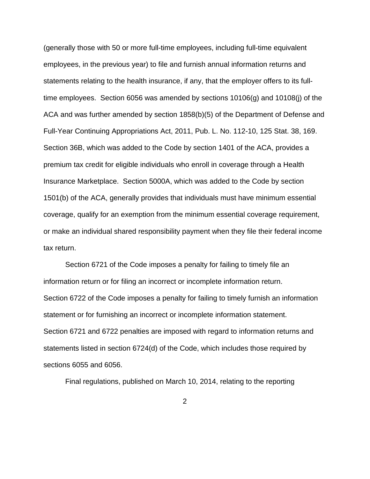(generally those with 50 or more full-time employees, including full-time equivalent employees, in the previous year) to file and furnish annual information returns and statements relating to the health insurance, if any, that the employer offers to its fulltime employees. Section 6056 was amended by sections 10106(g) and 10108(j) of the ACA and was further amended by section 1858(b)(5) of the Department of Defense and Full-Year Continuing Appropriations Act, 2011, Pub. L. No. 112-10, 125 Stat. 38, 169. Section 36B, which was added to the Code by section 1401 of the ACA, provides a premium tax credit for eligible individuals who enroll in coverage through a Health Insurance Marketplace. Section 5000A, which was added to the Code by section 1501(b) of the ACA, generally provides that individuals must have minimum essential coverage, qualify for an exemption from the minimum essential coverage requirement, or make an individual shared responsibility payment when they file their federal income tax return.

Section 6721 of the Code imposes a penalty for failing to timely file an information return or for filing an incorrect or incomplete information return. Section 6722 of the Code imposes a penalty for failing to timely furnish an information statement or for furnishing an incorrect or incomplete information statement. Section 6721 and 6722 penalties are imposed with regard to information returns and statements listed in section 6724(d) of the Code, which includes those required by sections 6055 and 6056.

Final regulations, published on March 10, 2014, relating to the reporting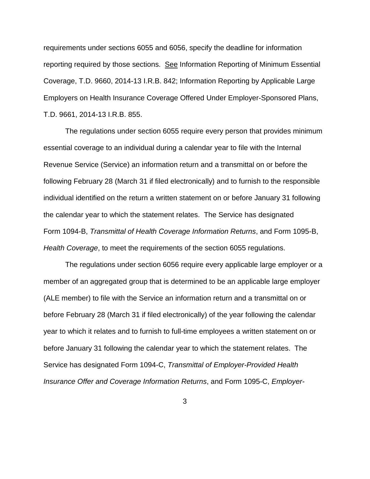requirements under sections 6055 and 6056, specify the deadline for information reporting required by those sections. See Information Reporting of Minimum Essential Coverage, T.D. 9660, 2014-13 I.R.B. 842; Information Reporting by Applicable Large Employers on Health Insurance Coverage Offered Under Employer-Sponsored Plans, T.D. 9661, 2014-13 I.R.B. 855.

The regulations under section 6055 require every person that provides minimum essential coverage to an individual during a calendar year to file with the Internal Revenue Service (Service) an information return and a transmittal on or before the following February 28 (March 31 if filed electronically) and to furnish to the responsible individual identified on the return a written statement on or before January 31 following the calendar year to which the statement relates. The Service has designated Form 1094-B, *Transmittal of Health Coverage Information Returns*, and Form 1095-B, *Health Coverage*, to meet the requirements of the section 6055 regulations.

The regulations under section 6056 require every applicable large employer or a member of an aggregated group that is determined to be an applicable large employer (ALE member) to file with the Service an information return and a transmittal on or before February 28 (March 31 if filed electronically) of the year following the calendar year to which it relates and to furnish to full-time employees a written statement on or before January 31 following the calendar year to which the statement relates. The Service has designated Form 1094-C, *Transmittal of Employer-Provided Health Insurance Offer and Coverage Information Returns*, and Form 1095-C, *Employer-*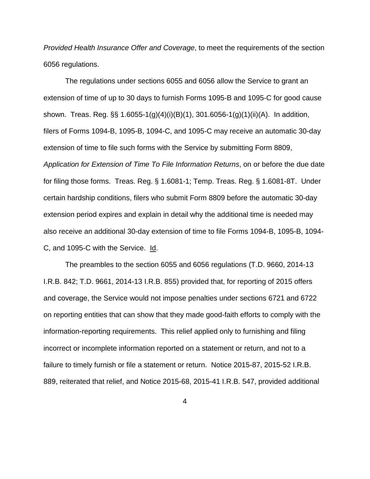*Provided Health Insurance Offer and Coverage*, to meet the requirements of the section 6056 regulations.

The regulations under sections 6055 and 6056 allow the Service to grant an extension of time of up to 30 days to furnish Forms 1095-B and 1095-C for good cause shown. Treas. Reg. §§ 1.6055-1(g)(4)(i)(B)(1), 301.6056-1(g)(1)(ii)(A). In addition, filers of Forms 1094-B, 1095-B, 1094-C, and 1095-C may receive an automatic 30-day extension of time to file such forms with the Service by submitting Form 8809, *Application for Extension of Time To File Information Returns*, on or before the due date for filing those forms. Treas. Reg. § 1.6081-1; Temp. Treas. Reg. § 1.6081-8T. Under certain hardship conditions, filers who submit Form 8809 before the automatic 30-day extension period expires and explain in detail why the additional time is needed may also receive an additional 30-day extension of time to file Forms 1094-B, 1095-B, 1094- C, and 1095-C with the Service. Id.

The preambles to the section 6055 and 6056 regulations (T.D. 9660, 2014-13 I.R.B. 842; T.D. 9661, 2014-13 I.R.B. 855) provided that, for reporting of 2015 offers and coverage, the Service would not impose penalties under sections 6721 and 6722 on reporting entities that can show that they made good-faith efforts to comply with the information-reporting requirements. This relief applied only to furnishing and filing incorrect or incomplete information reported on a statement or return, and not to a failure to timely furnish or file a statement or return. Notice 2015-87, 2015-52 I.R.B. 889, reiterated that relief, and Notice 2015-68, 2015-41 I.R.B. 547, provided additional

4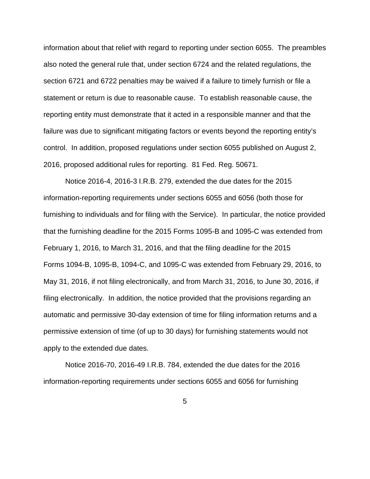information about that relief with regard to reporting under section 6055. The preambles also noted the general rule that, under section 6724 and the related regulations, the section 6721 and 6722 penalties may be waived if a failure to timely furnish or file a statement or return is due to reasonable cause. To establish reasonable cause, the reporting entity must demonstrate that it acted in a responsible manner and that the failure was due to significant mitigating factors or events beyond the reporting entity's control. In addition, proposed regulations under section 6055 published on August 2, 2016, proposed additional rules for reporting. 81 Fed. Reg. 50671.

Notice 2016-4, 2016-3 I.R.B. 279, extended the due dates for the 2015 information-reporting requirements under sections 6055 and 6056 (both those for furnishing to individuals and for filing with the Service). In particular, the notice provided that the furnishing deadline for the 2015 Forms 1095-B and 1095-C was extended from February 1, 2016, to March 31, 2016, and that the filing deadline for the 2015 Forms 1094-B, 1095-B, 1094-C, and 1095-C was extended from February 29, 2016, to May 31, 2016, if not filing electronically, and from March 31, 2016, to June 30, 2016, if filing electronically. In addition, the notice provided that the provisions regarding an automatic and permissive 30-day extension of time for filing information returns and a permissive extension of time (of up to 30 days) for furnishing statements would not apply to the extended due dates.

Notice 2016-70, 2016-49 I.R.B. 784, extended the due dates for the 2016 information-reporting requirements under sections 6055 and 6056 for furnishing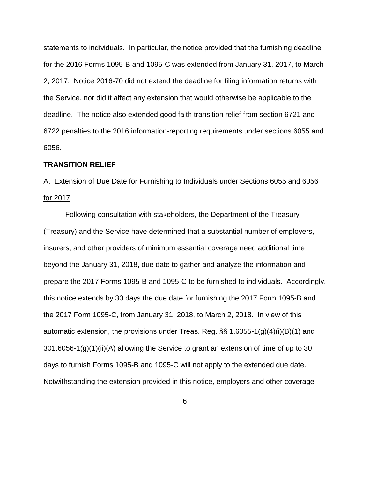statements to individuals. In particular, the notice provided that the furnishing deadline for the 2016 Forms 1095-B and 1095-C was extended from January 31, 2017, to March 2, 2017. Notice 2016-70 did not extend the deadline for filing information returns with the Service, nor did it affect any extension that would otherwise be applicable to the deadline. The notice also extended good faith transition relief from section 6721 and 6722 penalties to the 2016 information-reporting requirements under sections 6055 and 6056.

## **TRANSITION RELIEF**

# A. Extension of Due Date for Furnishing to Individuals under Sections 6055 and 6056 for 2017

Following consultation with stakeholders, the Department of the Treasury (Treasury) and the Service have determined that a substantial number of employers, insurers, and other providers of minimum essential coverage need additional time beyond the January 31, 2018, due date to gather and analyze the information and prepare the 2017 Forms 1095-B and 1095-C to be furnished to individuals. Accordingly, this notice extends by 30 days the due date for furnishing the 2017 Form 1095-B and the 2017 Form 1095-C, from January 31, 2018, to March 2, 2018. In view of this automatic extension, the provisions under Treas. Reg. §§ 1.6055-1(g)(4)(i)(B)(1) and 301.6056-1(g)(1)(ii)(A) allowing the Service to grant an extension of time of up to 30 days to furnish Forms 1095-B and 1095-C will not apply to the extended due date. Notwithstanding the extension provided in this notice, employers and other coverage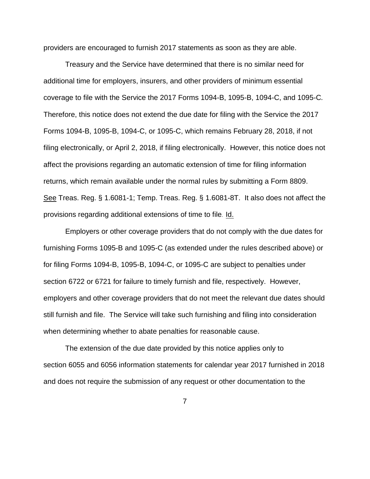providers are encouraged to furnish 2017 statements as soon as they are able.

Treasury and the Service have determined that there is no similar need for additional time for employers, insurers, and other providers of minimum essential coverage to file with the Service the 2017 Forms 1094-B, 1095-B, 1094-C, and 1095-C*.* Therefore, this notice does not extend the due date for filing with the Service the 2017 Forms 1094-B, 1095-B, 1094-C, or 1095-C, which remains February 28, 2018, if not filing electronically, or April 2, 2018, if filing electronically. However, this notice does not affect the provisions regarding an automatic extension of time for filing information returns, which remain available under the normal rules by submitting a Form 8809. See Treas. Reg. § 1.6081-1; Temp. Treas. Reg. § 1.6081-8T. It also does not affect the provisions regarding additional extensions of time to file. Id.

Employers or other coverage providers that do not comply with the due dates for furnishing Forms 1095-B and 1095-C (as extended under the rules described above) or for filing Forms 1094-B, 1095-B, 1094-C, or 1095-C are subject to penalties under section 6722 or 6721 for failure to timely furnish and file, respectively. However, employers and other coverage providers that do not meet the relevant due dates should still furnish and file. The Service will take such furnishing and filing into consideration when determining whether to abate penalties for reasonable cause.

The extension of the due date provided by this notice applies only to section 6055 and 6056 information statements for calendar year 2017 furnished in 2018 and does not require the submission of any request or other documentation to the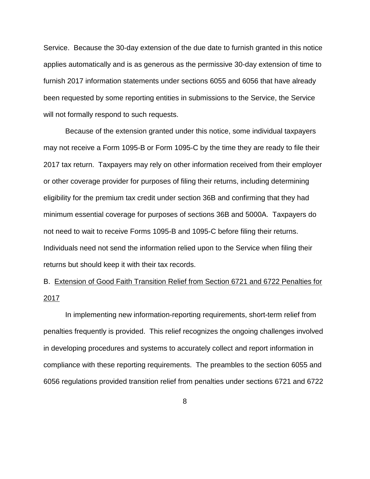Service. Because the 30-day extension of the due date to furnish granted in this notice applies automatically and is as generous as the permissive 30-day extension of time to furnish 2017 information statements under sections 6055 and 6056 that have already been requested by some reporting entities in submissions to the Service, the Service will not formally respond to such requests.

Because of the extension granted under this notice, some individual taxpayers may not receive a Form 1095-B or Form 1095-C by the time they are ready to file their 2017 tax return. Taxpayers may rely on other information received from their employer or other coverage provider for purposes of filing their returns, including determining eligibility for the premium tax credit under section 36B and confirming that they had minimum essential coverage for purposes of sections 36B and 5000A. Taxpayers do not need to wait to receive Forms 1095-B and 1095-C before filing their returns. Individuals need not send the information relied upon to the Service when filing their returns but should keep it with their tax records.

B. Extension of Good Faith Transition Relief from Section 6721 and 6722 Penalties for 2017

In implementing new information-reporting requirements, short-term relief from penalties frequently is provided. This relief recognizes the ongoing challenges involved in developing procedures and systems to accurately collect and report information in compliance with these reporting requirements. The preambles to the section 6055 and 6056 regulations provided transition relief from penalties under sections 6721 and 6722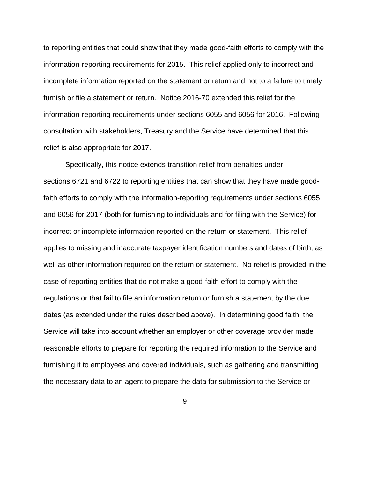to reporting entities that could show that they made good-faith efforts to comply with the information-reporting requirements for 2015. This relief applied only to incorrect and incomplete information reported on the statement or return and not to a failure to timely furnish or file a statement or return. Notice 2016-70 extended this relief for the information-reporting requirements under sections 6055 and 6056 for 2016. Following consultation with stakeholders, Treasury and the Service have determined that this relief is also appropriate for 2017.

Specifically, this notice extends transition relief from penalties under sections 6721 and 6722 to reporting entities that can show that they have made goodfaith efforts to comply with the information-reporting requirements under sections 6055 and 6056 for 2017 (both for furnishing to individuals and for filing with the Service) for incorrect or incomplete information reported on the return or statement. This relief applies to missing and inaccurate taxpayer identification numbers and dates of birth, as well as other information required on the return or statement. No relief is provided in the case of reporting entities that do not make a good-faith effort to comply with the regulations or that fail to file an information return or furnish a statement by the due dates (as extended under the rules described above). In determining good faith, the Service will take into account whether an employer or other coverage provider made reasonable efforts to prepare for reporting the required information to the Service and furnishing it to employees and covered individuals, such as gathering and transmitting the necessary data to an agent to prepare the data for submission to the Service or

9